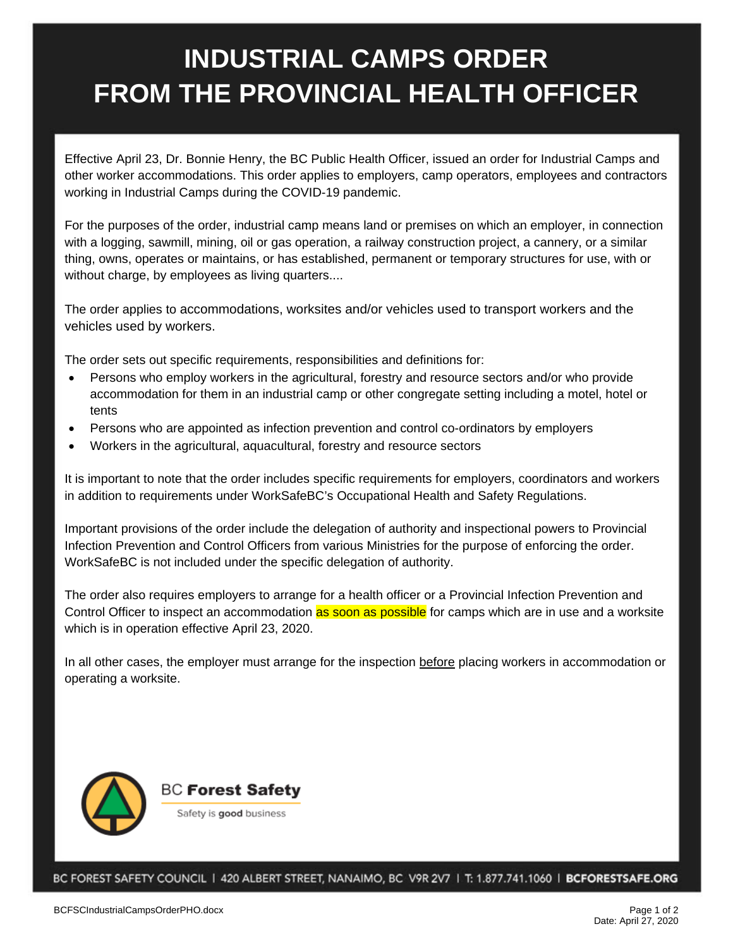## **INDUSTRIAL CAMPS ORDER FROM THE PROVINCIAL HEALTH OFFICER**

Effective April 23, Dr. Bonnie Henry, the BC Public Health Officer, issued an order for Industrial Camps and other worker accommodations. This order applies to employers, camp operators, employees and contractors working in Industrial Camps during the COVID-19 pandemic.

For the purposes of the order, industrial camp means land or premises on which an employer, in connection with a logging, sawmill, mining, oil or gas operation, a railway construction project, a cannery, or a similar thing, owns, operates or maintains, or has established, permanent or temporary structures for use, with or without charge, by employees as living quarters....

The order applies to accommodations, worksites and/or vehicles used to transport workers and the vehicles used by workers.

The order sets out specific requirements, responsibilities and definitions for:

- Persons who employ workers in the agricultural, forestry and resource sectors and/or who provide accommodation for them in an industrial camp or other congregate setting including a motel, hotel or tents
- Persons who are appointed as infection prevention and control co-ordinators by employers
- Workers in the agricultural, aquacultural, forestry and resource sectors

It is important to note that the order includes specific requirements for employers, coordinators and workers in addition to requirements under WorkSafeBC's Occupational Health and Safety Regulations.

Important provisions of the order include the delegation of authority and inspectional powers to Provincial Infection Prevention and Control Officers from various Ministries for the purpose of enforcing the order. WorkSafeBC is not included under the specific delegation of authority.

The order also requires employers to arrange for a health officer or a Provincial Infection Prevention and Control Officer to inspect an accommodation as soon as possible for camps which are in use and a worksite which is in operation effective April 23, 2020.

In all other cases, the employer must arrange for the inspection before placing workers in accommodation or operating a worksite.



BC FOREST SAFETY COUNCIL | 420 ALBERT STREET, NANAIMO, BC V9R 2V7 | T: 1.877.741.1060 | BCFORESTSAFE.ORG